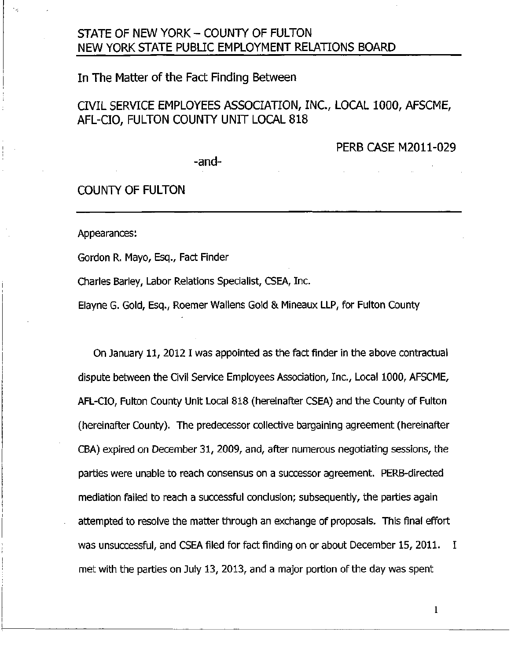## STATE OF NEW YORK - COUNTY OF FULTON NEW YORK STATE PUBLIC EMPLOYMENT RELATIONS BOARD

## In The Matter of the Fact Finding Between

## CIVIL SERVICE EMPLOYEES ASSOCIATION, INC., LOCAL 1000, AFSCME, AFL-CIO, FULTON COUNTY UNIT LOCAL 818

PERB CASE M2011-029

-and-

## COUNTY OF FULTON

Appearances:

Gordon R. Mayo, Esq., Fact Finder

Charles Barley, Labor Relations Specialist, CSEA, Inc.

Elayne G. Gold, Esq., Roemer Wallens Gold & Mineaux LLP, for Fulton County

On January 11, 2012 I was appointed as the fact finder in the above contractual dispute between the Civil Service Employees Association, Inc., Local 1000, AFSCME, AFL-CIO, Fulton County Unit Local 818 (hereinafter CSEA) and the County of Fulton (hereinafter County). The predecessor collective bargaining agreement (hereinafter CBA) expired on December 31, 2009, and, after numerous negotiating sessions, the parties were unable to reach consensus on a successor agreement. PERB-directed mediation failed to reach a successful conclusion; subsequently, the parties again attempted to resolve the matter through an exchange of proposals. This final effort was unsuccessful, and CSEA filed for fact finding on or about December 15, 2011. I met with the parties on July 13, 2013, and a major portion of the day was spent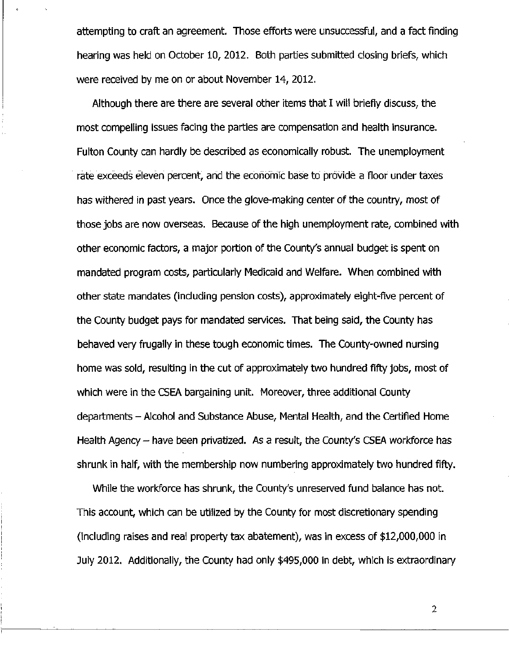attempting to craft an agreement. Those efforts were unsuccessful, and a fact finding hearing was held on October 10, 2012. Both parties submitted closing briefs, which were received by me on or about November 14, 2012.

Although there are there are several other items that I will briefly discuss, the most compelling issues facing the parties are compensation and health insurance. Fulton County can hardly be described as economically robust. The unemployment rate exceeds eleven percent, and the economic base to provide a floor under taxes has withered in past years. Once the glove-making center of the country, most of those jobs are now overseas. Because of the high unemployment rate, combined with other economic factors, a major portion of the County's annual budget is spent on mandated program costs, particularly Medicaid and Welfare. When combined with other state mandates (including pension costs), approximately eight-five percent of the County budget pays for mandated services. That being said, the County has behaved very frugally in these tough economic times. The County-owned nursing home was sold, resulting in the cut of approximately two hundred fifty jobs, most of which were in the CSEA bargaining unit. Moreover, three additional County departments - Alcohol and Substance Abuse, Mental Health, and the Certified Home Health Agency - have been privatized. As a result, the County's CSEA workforce has shrunk in half, with the membership now numbering approximately two hundred fifty.

While the workforce has shrunk, the County's unreserved fund balance has not. This account, which can be utilized by the County for most discretionary spending (including raises and real property tax abatement), was in excess of \$12,000,000 in July 2012. Additionally, the County had only \$495,000 in debt, which is extraordinary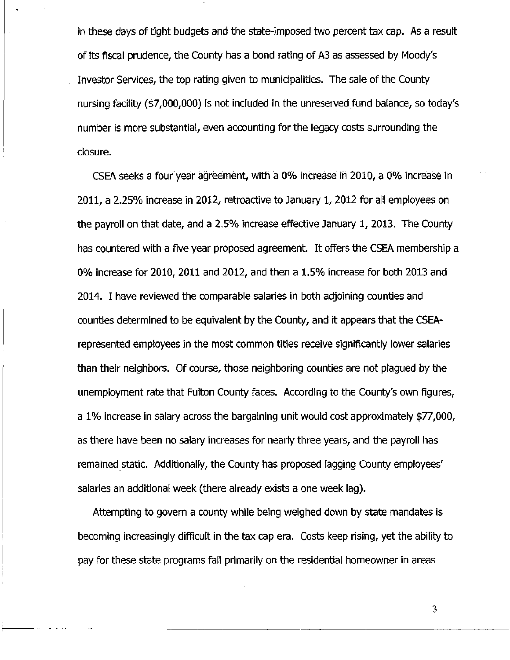in these days of tight budgets and the state-imposed two percent tax cap. As a result of its fiscal prudence, the County has a bond rating of A3 as assessed by Moody's Investor Services, the top rating given to municipalities. The sale of the County nursing facility (\$7,000,000) is not included in the unreserved fund balance, so today's number is more substantial, even accounting for the legacy costs surrounding the closure.

CSEA seeks a four year agreement, with a 0% increase in 2010, a 0% increase in 2011, a 2.25% increase in 2012, retroactive to January 1, 2012 for all employees on the payroll on that date, and a 2.5% increase effective January 1, 2013. The County has countered with a five year proposed agreement. It offers the CSEA membership a 0% increase for 2010, 2011 and 2012, and then a 1.5% increase for both 2013 and 2014. I have reviewed the comparable salaries in both adjoining counties and counties determined to be equivalent by the County, and it appears that the CSEArepresented employees in the most common titles receive significantly lower salaries than their neighbors. Of course, those neighboring counties are not plagued by the unemployment rate that Fulton County faces. According to the County's own figures, a 1% increase in salary across the bargaining unit would cost approximately \$77,000, as there have been no salary increases for nearly three years, and the payroll has remained static. Additionally, the County has proposed lagging County employees' salaries an additional week (there already exists a one week lag).

Attempting to govern a county while being weighed down by state mandates is becoming increasingly difficult in the tax cap era. Costs keep rising, yet the ability to pay for these state programs fall primarily on the residential homeowner in areas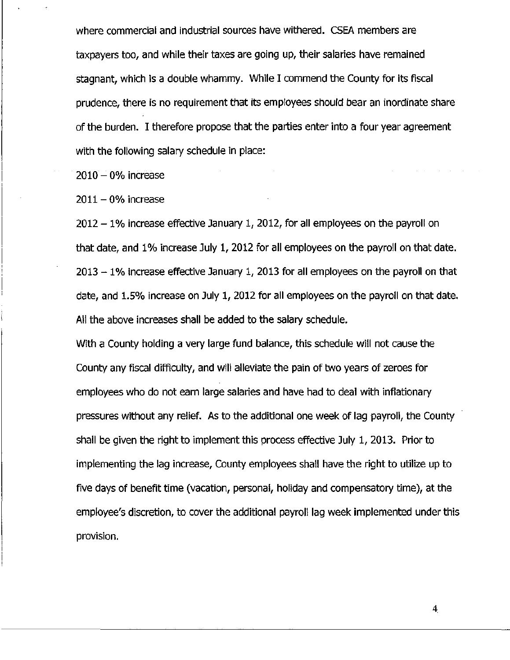where commercial and industrial sources have withered. CSEA members are taxpayers too, and while their taxes are going up, their salaries have remained stagnant, which is a double whammy. While I commend the County for its fiscal prudence, there is no requirement that its employees should bear an inordinate share of the burden. I therefore propose that the parties enter into a four year agreement with the following salary schedule in place:

 $2010 - 0%$  increase

 $2011 - 0%$  increase

2012 - 1% increase effective January 1, 2012, for all employees on the payroll on that date, and 1% increase July 1, 2012 for all employees on the payroll on that date.  $2013 - 1\%$  increase effective January 1, 2013 for all employees on the payroll on that date, and 1.5% increase on July 1, 2012 for all employees on the payroll on that date. All the above increases shall be added to the salary schedule.

With a County holding a very large fund balance, this schedule will not cause the County any fiscal difficulty, and will alleviate the pain of two years of zeroes for employees who do not earn large salaries and have had to deal with inflationary pressures without any relief. As to the additional one week of lag payroll, the County shall be given the right to implement this process effective July 1, 2013. Prior to implementing the lag increase, County employees shall have the right to utilize up to five days of benefit time (vacation, personal, holiday and compensatory time), at the employee's discretion, to cover the additional payroll lag week implemented under this provision.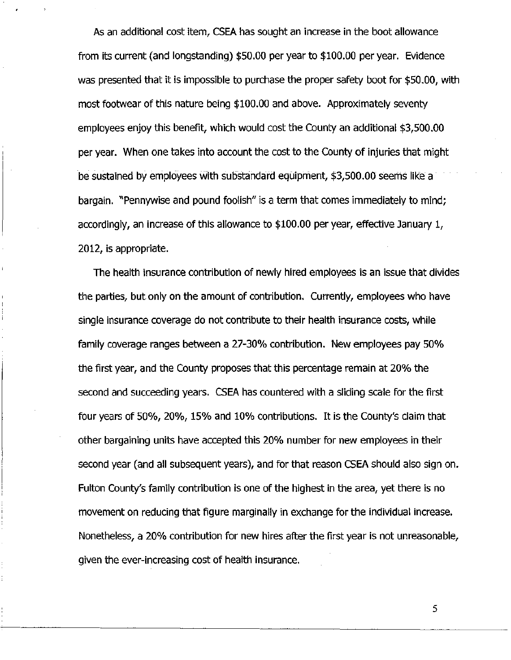As an additional cost item, CSEA has sought an increase in the boot allowance from its current (and longstanding) \$50.00 per year to \$100.00 per year. Evidence was presented that it is impossible to purchase the proper safety boot for \$50.00, with most footwear of this nature being \$100.00 and above. Approximately seventy employees enjoy this benefit, which would cost the County an additional \$3,500.00 per year. When one takes into account the cost to the County of injuries that might be sustained by employees with substandard equipment, \$3,500.00 seems like a bargain. "Pennywise and pound foolish" is a term that comes immediately to mind; accordingly, an increase of this allowance to \$100.00 per year, effective January 1, 2012, is appropriate.

The health insurance contribution of newly hired employees is an issue that divides the parties, but only on the amount of contribution. Currently, employees who have single insurance coverage do not contribute to their health insurance costs, while family coverage ranges between a 27-30% contribution. New employees pay 50% the first year, and the County proposes that this percentage remain at 20% the second and succeeding years. CSEA has countered with a sliding scale for the first four years of 50%, 20%, 15% and 10% contributions. It is the County's claim that other bargaining units have accepted this 20% number for new employees in their second year (and all subsequent years), and for that reason CSEA should also sign on. Fulton County's family contribution is one of the highest in the area, yet there is no movement on reducing that figure marginally in exchange for the individual increase. Nonetheless, a 20% contribution for new hires after the first year is not unreasonable, given the ever-increasing cost of health insurance.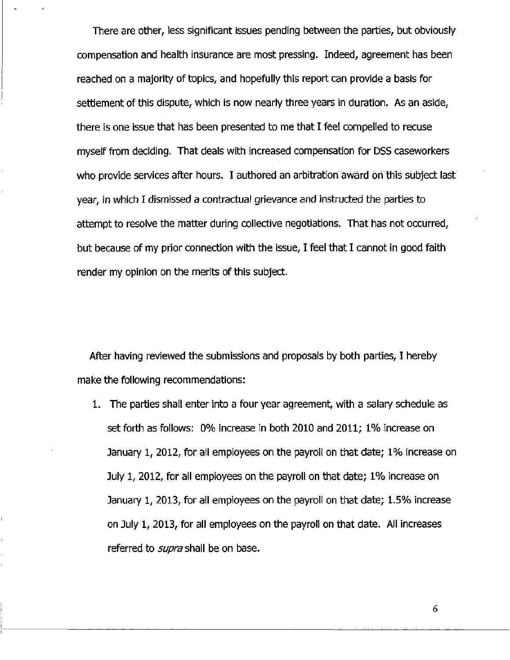There are other, less significant issues pending between the parties, but obviously compensation and health insurance are most pressing. Indeed, agreement has been reached on a majority of topics, and hopefully this report can provide a basis for settlement of this dispute, which is now nearly three years in duration. As an aside, there is one issue that has been presented to me that I feel compelled to recuse myself from deciding. That deals with increased compensation for DSS caseworkers who provide services after hours. I authored an arbitration award on this subject last year, in which I dismissed a contractual grievance and instructed the parties to attempt to resolve the matter during collective negotiations. That has not occurred, but because of my prior connection with the issue, I feel that I cannot in good faith render my opinion on the merits of this subject.

After having reviewed the submissions and proposals by both parties, I hereby make the following recommendations:

1. The parties shall enter into a four year agreement, with a salary schedule as set forth as follows: 0% increase in both 2010 and 2011; 1% increase on January 1, 2012, for all employees on the payroll on that date; 1% increase on July 1, 2012, for all employees on the payroll on that date; 1% increase on January 1, 2013, for all employees on the payroll on that date; 1.5% increase on July 1, 2013, for all employees on the payroll on that date. All increases referred to *supra* shall be on base.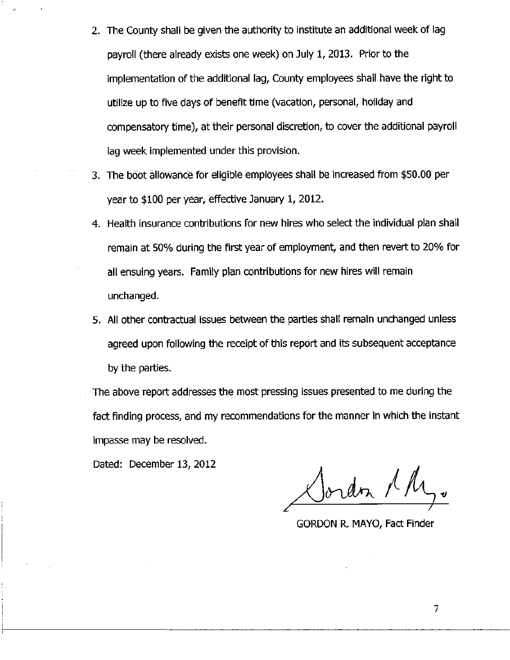- 2. The County shall be given the authority to institute an additional week of lag payroll (there already exists one week) on July 1, 2013. Prior to the implementation of the additional lag, County employees shall have the right to utilize up to five days of benefit time (vacation, personal, holiday and compensatory time), at their personal discretion, to cover the additional payroll lag week implemented under this provision.
- 3. The boot allowance for eligible employees shall be increased from \$50.00 per year to \$100 per year, effective January 1, 2012.
- 4. Health insurance contributions for new hires who select the individual plan shall remain at 50% during the first year of employment, and then revert to 20% for all ensuing years. Family plan contributions for new hires will remain unchanged.
- 5. All other contractual issues between the parties shall remain unchanged unless agreed upon following the receipt of this report and its subsequent acceptance by the parties.
- The above report addresses the most pressing issues presented to me during the fact finding process, and my recommendations for the manner in which the instant impasse may be resolved.

Dated: December 13, 2012

 $\angle$ Jordon 1 M

GORDON R. MAYO, Fact Finder